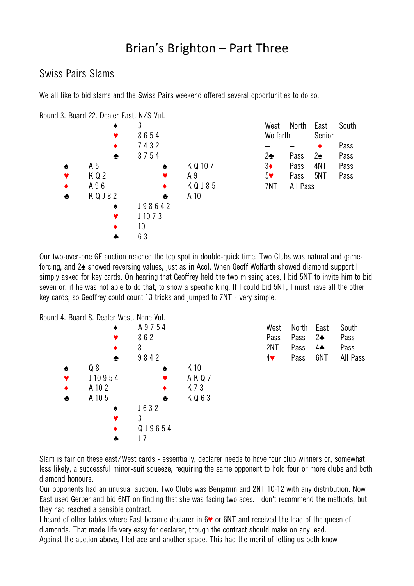## Brian's Brighton – Part Three

## Swiss Pairs Slams

We all like to bid slams and the Swiss Pairs weekend offered several opportunities to do so.

Round 3. Board 22. Dealer East. N/S Vul.  $\overline{3}$ ♥ 8 6 5 4 ♦ 7 4 3 2  $\bullet$  8754 ♠ A 5 ♠ K Q 10 7  $K \, Q \, 2$   $\bullet$   $A \, 9$ A 9 6 ★ K Q J 8 5  $KQJ82$   $\rightarrow$  A 10 ♠ J 9 8 6 4 2 J 10 7 3  $\bullet$  10 ♣ 6 3 West North East South Wolfarth Senior  $-$  1 $\bullet$  Pass 2♣ Pass 2♠ Pass 3♦ Pass 4NT Pass 5♥ Pass 5NT Pass 7NT All Pass

Our two-over-one GF auction reached the top spot in double-quick time. Two Clubs was natural and gameforcing, and 2♠ showed reversing values, just as in Acol. When Geoff Wolfarth showed diamond support I simply asked for key cards. On hearing that Geoffrey held the two missing aces, I bid 5NT to invite him to bid seven or, if he was not able to do that, to show a specific king. If I could bid 5NT, I must have all the other key cards, so Geoffrey could count 13 tricks and jumped to 7NT - very simple.

Round 4. Board 8. Dealer West. None Vul.

|   | . DUAIU O. DEAIEI WEST. INUIIE VUI. |        |         |                       |       |            |          |
|---|-------------------------------------|--------|---------|-----------------------|-------|------------|----------|
|   | ♠                                   | A9754  |         | West                  | North | East       | South    |
|   |                                     | 862    |         | Pass                  | Pass  | $2\bullet$ | Pass     |
|   | ٠                                   | 8      |         | 2NT                   | Pass  | 4♣         | Pass     |
|   | ♣                                   | 9842   |         | $4\blacktriangledown$ | Pass  | 6NT        | All Pass |
| ♠ | Q8                                  | ♠      | K 10    |                       |       |            |          |
| Y | J10954                              |        | AKQ7    |                       |       |            |          |
| ٠ | A 10 2                              |        | K 7 3   |                       |       |            |          |
| ♣ | A 10 5                              | ♣      | K Q 6 3 |                       |       |            |          |
|   | ♠                                   | J632   |         |                       |       |            |          |
|   |                                     | 3      |         |                       |       |            |          |
|   |                                     | QJ9654 |         |                       |       |            |          |
|   | ♣                                   |        |         |                       |       |            |          |

Slam is fair on these east/West cards - essentially, declarer needs to have four club winners or, somewhat less likely, a successful minor-suit squeeze, requiring the same opponent to hold four or more clubs and both diamond honours.

Our opponents had an unusual auction. Two Clubs was Benjamin and 2NT 10-12 with any distribution. Now East used Gerber and bid 6NT on finding that she was facing two aces. I don't recommend the methods, but they had reached a sensible contract.

I heard of other tables where East became declarer in 6♥ or 6NT and received the lead of the queen of diamonds. That made life very easy for declarer, though the contract should make on any lead. Against the auction above, I led ace and another spade. This had the merit of letting us both know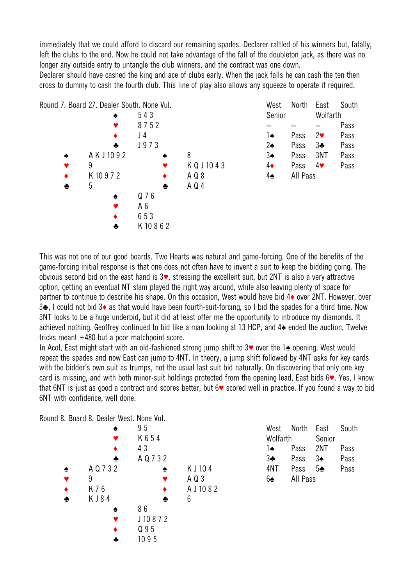immediately that we could afford to discard our remaining spades. Declarer rattled of his winners but, fatally, left the clubs to the end. Now he could not take advantage of the fall of the doubleton jack, as there was no longer any outside entry to untangle the club winners, and the contract was one down.

Declarer should have cashed the king and ace of clubs early. When the jack falls he can cash the ten then cross to dummy to cash the fourth club. This line of play also allows any squeeze to operate if required.



This was not one of our good boards. Two Hearts was natural and game-forcing. One of the benefits of the game-forcing initial response is that one does not often have to invent a suit to keep the bidding going. The obvious second bid on the east hand is 3♥, stressing the excellent suit, but 2NT is also a very attractive option, getting an eventual NT slam played the right way around, while also leaving plenty of space for partner to continue to describe his shape. On this occasion, West would have bid 4♦ over 2NT. However, over 3♣, I could not bid 3♦ as that would have been fourth-suit-forcing, so I bid the spades for a third time. Now 3NT looks to be a huge underbid, but it did at least offer me the opportunity to introduce my diamonds. It achieved nothing. Geoffrey continued to bid like a man looking at 13 HCP, and 4♠ ended the auction. Twelve tricks meant +480 but a poor matchpoint score.

In Acol, East might start with an old-fashioned strong jump shift to 3♥ over the 1♠ opening. West would repeat the spades and now East can jump to 4NT. In theory, a jump shift followed by 4NT asks for key cards with the bidder's own suit as trumps, not the usual last suit bid naturally. On discovering that only one key card is missing, and with both minor-suit holdings protected from the opening lead, East bids 6♥. Yes, I know that 6NT is just as good a contract and scores better, but 6♥ scored well in practice. If you found a way to bid 6NT with confidence, well done.

Round 8. Board 8. Dealer West. None Vul.

|   |           | 95        |            |
|---|-----------|-----------|------------|
|   |           | K654      |            |
|   |           | 43        |            |
|   | ♣         | A Q 7 3 2 |            |
| ♠ | A Q 7 3 2 | ♠         | K J 104    |
| Y | 9         |           | A Q 3      |
|   | K 7 6     |           | A J 10 8 2 |
|   | KJ84      |           | 6          |
|   |           | 86        |            |
|   |           | J10872    |            |
|   |           | Q 9 5     |            |
|   |           | 1095      |            |
|   |           |           |            |

West North East South Wolfarth Senior 1♠ Pass 2NT Pass 3♣ Pass 3♠ Pass 4NT Pass 5♣ Pass 6♠ All Pass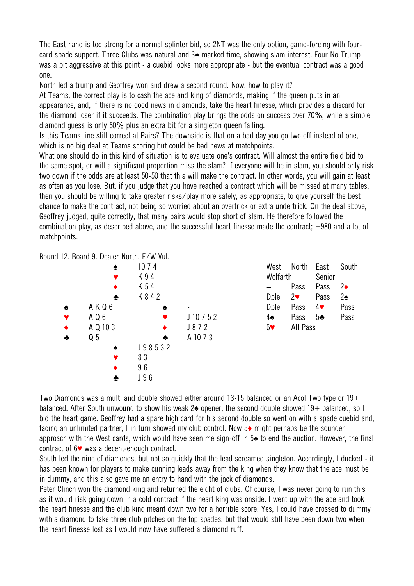The East hand is too strong for a normal splinter bid, so 2NT was the only option, game-forcing with fourcard spade support. Three Clubs was natural and 3♠ marked time, showing slam interest. Four No Trump was a bit aggressive at this point - a cuebid looks more appropriate - but the eventual contract was a good one.

North led a trump and Geoffrey won and drew a second round. Now, how to play it?

At Teams, the correct play is to cash the ace and king of diamonds, making if the queen puts in an appearance, and, if there is no good news in diamonds, take the heart finesse, which provides a discard for the diamond loser if it succeeds. The combination play brings the odds on success over 70%, while a simple diamond guess is only 50% plus an extra bit for a singleton queen falling.

Is this Teams line still correct at Pairs? The downside is that on a bad day you go two off instead of one, which is no big deal at Teams scoring but could be bad news at matchpoints.

What one should do in this kind of situation is to evaluate one's contract. Will almost the entire field bid to the same spot, or will a significant proportion miss the slam? If everyone will be in slam, you should only risk two down if the odds are at least 50-50 that this will make the contract. In other words, you will gain at least as often as you lose. But, if you judge that you have reached a contract which will be missed at many tables, then you should be willing to take greater risks/play more safely, as appropriate, to give yourself the best chance to make the contract, not being so worried about an overtrick or extra undertrick. On the deal above, Geoffrey judged, quite correctly, that many pairs would stop short of slam. He therefore followed the combination play, as described above, and the successful heart finesse made the contract; +980 and a lot of matchpoints.

Round 12. Board 9. Dealer North. E/W Vul.

|   | ♠              | 10 7 4  |          | West                  | North      | East                  | South         |
|---|----------------|---------|----------|-----------------------|------------|-----------------------|---------------|
|   |                | K94     |          | Wolfarth              |            | Senior                |               |
|   |                | K 54    |          |                       | Pass       | Pass                  | $2\bullet$    |
|   | ♣              | K 8 4 2 |          | <b>D</b> ble          | $2\bullet$ | Pass                  | $2\spadesuit$ |
| ٠ | AKQ6           | ♠       |          | <b>D</b> ble          | Pass       | $4\blacktriangledown$ | Pass          |
|   | AQ6            |         | J10752   | 4♠                    | Pass       | 5 <sub>2</sub>        | Pass          |
|   | A Q 10 3       |         | J872     | $6\blacktriangledown$ | All Pass   |                       |               |
| ♣ | Q <sub>5</sub> | ÷       | A 10 7 3 |                       |            |                       |               |
|   | ۰              | J98532  |          |                       |            |                       |               |
|   |                | 83      |          |                       |            |                       |               |
|   |                | 96      |          |                       |            |                       |               |
|   | ÷              | J96     |          |                       |            |                       |               |

Two Diamonds was a multi and double showed either around 13-15 balanced or an Acol Two type or 19+ balanced. After South unwound to show his weak 2♠ opener, the second double showed 19+ balanced, so I bid the heart game. Geoffrey had a spare high card for his second double so went on with a spade cuebid and, facing an unlimited partner, I in turn showed my club control. Now 5♦ might perhaps be the sounder approach with the West cards, which would have seen me sign-off in 5 $\triangle$  to end the auction. However, the final contract of 6♥ was a decent-enough contract.

South led the nine of diamonds, but not so quickly that the lead screamed singleton. Accordingly, I ducked - it has been known for players to make cunning leads away from the king when they know that the ace must be in dummy, and this also gave me an entry to hand with the jack of diamonds.

Peter Clinch won the diamond king and returned the eight of clubs. Of course, I was never going to run this as it would risk going down in a cold contract if the heart king was onside. I went up with the ace and took the heart finesse and the club king meant down two for a horrible score. Yes, I could have crossed to dummy with a diamond to take three club pitches on the top spades, but that would still have been down two when the heart finesse lost as I would now have suffered a diamond ruff.